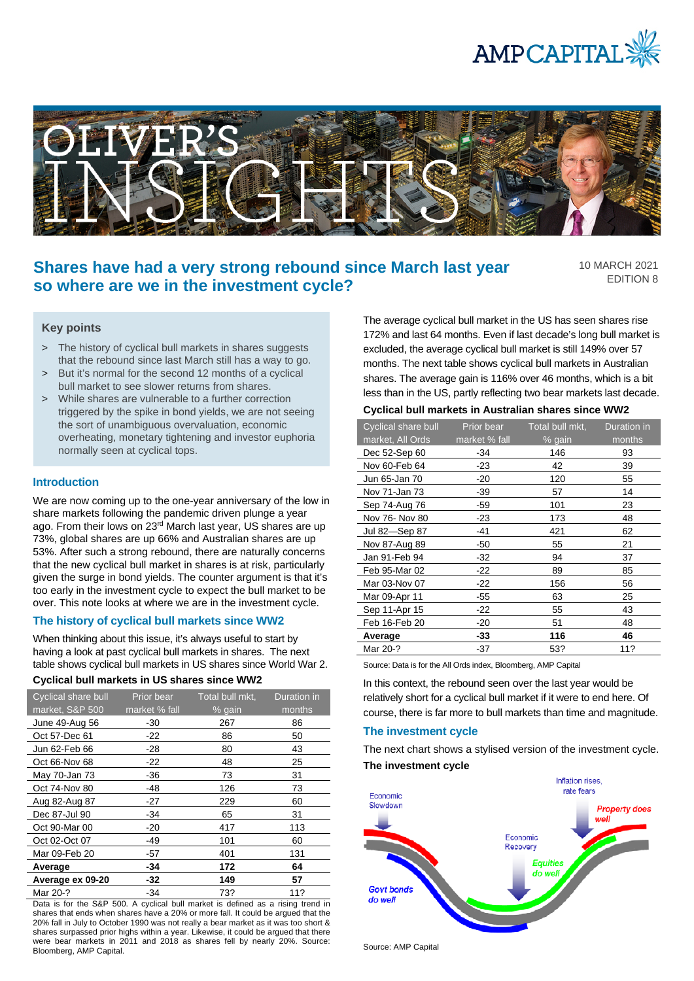



# **Shares have had a very strong rebound since March last year so where are we in the investment cycle?**

10 MARCH 2021 EDITION 8

# **Key points**

- > The history of cyclical bull markets in shares suggests that the rebound since last March still has a way to go.
- > But it's normal for the second 12 months of a cyclical bull market to see slower returns from shares.
- > While shares are vulnerable to a further correction triggered by the spike in bond yields, we are not seeing the sort of unambiguous overvaluation, economic overheating, monetary tightening and investor euphoria normally seen at cyclical tops.

## **Introduction**

We are now coming up to the one-year anniversary of the low in share markets following the pandemic driven plunge a year ago. From their lows on 23<sup>rd</sup> March last year, US shares are up 73%, global shares are up 66% and Australian shares are up 53%. After such a strong rebound, there are naturally concerns that the new cyclical bull market in shares is at risk, particularly given the surge in bond yields. The counter argument is that it's too early in the investment cycle to expect the bull market to be over. This note looks at where we are in the investment cycle.

### **The history of cyclical bull markets since WW2**

When thinking about this issue, it's always useful to start by having a look at past cyclical bull markets in shares. The next table shows cyclical bull markets in US shares since World War 2.

#### **Cyclical bull markets in US shares since WW2**

| Cyclical share bull | Total bull mkt.<br>Prior bear |     | Duration in |
|---------------------|-------------------------------|-----|-------------|
| market, S&P 500     | market % fall<br>% gain       |     | months      |
| June 49-Aug 56      | -30                           | 267 | 86          |
| Oct 57-Dec 61       | -22                           | 86  | 50          |
| Jun 62-Feb 66       | -28                           | 80  | 43          |
| Oct 66-Nov 68       | -22                           | 48  | 25          |
| May 70-Jan 73       | -36                           | 73  | 31          |
| Oct 74-Nov 80       | -48                           | 126 | 73          |
| Aug 82-Aug 87       | -27                           | 229 | 60          |
| Dec 87-Jul 90       | -34                           | 65  | 31          |
| Oct 90-Mar 00       | $-20$                         | 417 | 113         |
| Oct 02-Oct 07       | -49                           | 101 | 60          |
| Mar 09-Feb 20       | -57                           | 401 | 131         |
| Average             | -34                           | 172 | 64          |
| Average ex 09-20    | -32                           | 149 | 57          |
| Mar 20-?            | $-34$                         | 73? | 11?         |

Data is for the S&P 500. A cyclical bull market is defined as a rising trend in shares that ends when shares have a 20% or more fall. It could be argued that the 20% fall in July to October 1990 was not really a bear market as it was too short & shares surpassed prior highs within a year. Likewise, it could be argued that there were bear markets in 2011 and 2018 as shares fell by nearly 20%. Source: Bloomberg, AMP Capital.

The average cyclical bull market in the US has seen shares rise 172% and last 64 months. Even if last decade's long bull market is excluded, the average cyclical bull market is still 149% over 57 months. The next table shows cyclical bull markets in Australian shares. The average gain is 116% over 46 months, which is a bit less than in the US, partly reflecting two bear markets last decade.

# **Cyclical bull markets in Australian shares since WW2**

| Cyclical share bull | Total bull mkt,<br>Prior bear |        | Duration in |
|---------------------|-------------------------------|--------|-------------|
| market, All Ords    | market % fall                 | % gain |             |
| Dec 52-Sep 60       | -34                           | 146    | 93          |
| Nov 60-Feb 64       | -23                           | 42     | 39          |
| Jun 65-Jan 70       | $-20$<br>120                  |        | 55          |
| Nov 71-Jan 73       | -39                           | 57     | 14          |
| Sep 74-Aug 76       | -59                           | 101    | 23          |
| Nov 76- Nov 80      | -23                           | 173    | 48          |
| Jul 82—Sep 87       | -41                           | 421    | 62          |
| Nov 87-Aug 89       | -50                           | 55     | 21          |
| Jan 91-Feb 94       | -32                           | 94     | 37          |
| Feb 95-Mar 02       | $-22$                         | 89     | 85          |
| Mar 03-Nov 07       | $-22$                         | 156    | 56          |
| Mar 09-Apr 11       | -55                           | 63     | 25          |
| Sep 11-Apr 15       | -22                           | 55     | 43          |
| Feb 16-Feb 20       | -20                           | 51     | 48          |
| Average             | $-33$                         | 116    | 46          |
| Mar 20-?            | -37                           | 53?    | 11?         |

Source: Data is for the All Ords index, Bloomberg, AMP Capital

In this context, the rebound seen over the last year would be relatively short for a cyclical bull market if it were to end here. Of course, there is far more to bull markets than time and magnitude.

#### **The investment cycle**

The next chart shows a stylised version of the investment cycle. **The investment cycle**



Source: AMP Capital